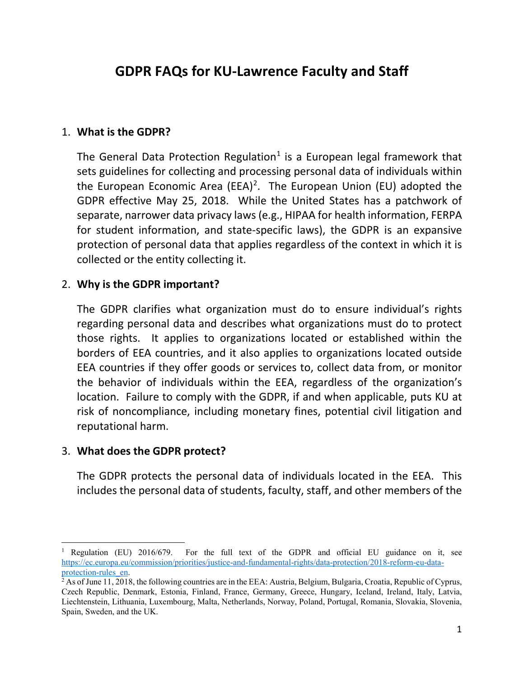# **GDPR FAQs for KU-Lawrence Faculty and Staff**

#### 1. **What is the GDPR?**

The General Data Protection Regulation<sup>1</sup> is a European legal framework that sets guidelines for collecting and processing personal data of individuals within the European Economic Area (EEA)<sup>[2](#page-0-1)</sup>. The European Union (EU) adopted the GDPR effective May 25, 2018. While the United States has a patchwork of separate, narrower data privacy laws (e.g., HIPAA for health information, FERPA for student information, and state-specific laws), the GDPR is an expansive protection of personal data that applies regardless of the context in which it is collected or the entity collecting it.

#### 2. **Why is the GDPR important?**

The GDPR clarifies what organization must do to ensure individual's rights regarding personal data and describes what organizations must do to protect those rights. It applies to organizations located or established within the borders of EEA countries, and it also applies to organizations located outside EEA countries if they offer goods or services to, collect data from, or monitor the behavior of individuals within the EEA, regardless of the organization's location. Failure to comply with the GDPR, if and when applicable, puts KU at risk of noncompliance, including monetary fines, potential civil litigation and reputational harm.

#### 3. **What does the GDPR protect?**

The GDPR protects the personal data of individuals located in the EEA. This includes the personal data of students, faculty, staff, and other members of the

<span id="page-0-0"></span> <sup>1</sup> Regulation (EU) 2016/679. For the full text of the GDPR and official EU guidance on it, see [https://ec.europa.eu/commission/priorities/justice-and-fundamental-rights/data-protection/2018-reform-eu-data-](https://ec.europa.eu/commission/priorities/justice-and-fundamental-rights/data-protection/2018-reform-eu-data-protection-rules_en)

<span id="page-0-1"></span> $^{2}$  As of June 11, 2018, the following countries are in the EEA: Austria, Belgium, Bulgaria, Croatia, Republic of Cyprus, Czech Republic, Denmark, Estonia, Finland, France, Germany, Greece, Hungary, Iceland, Ireland, Italy, Latvia, Liechtenstein, Lithuania, Luxembourg, Malta, Netherlands, Norway, Poland, Portugal, Romania, Slovakia, Slovenia, Spain, Sweden, and the UK.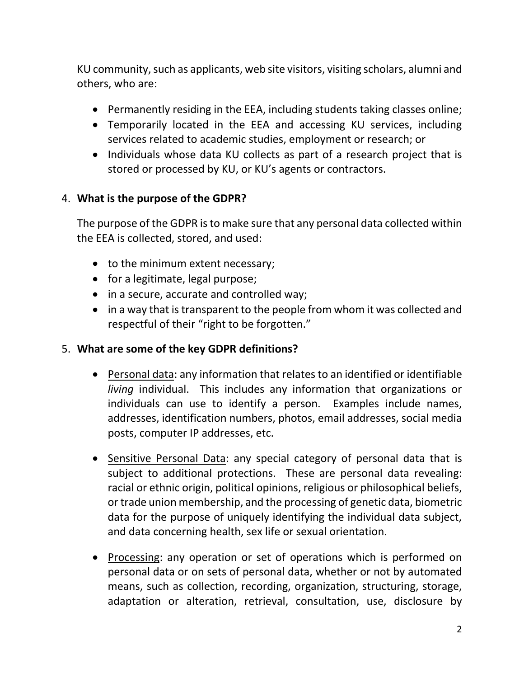KU community, such as applicants, web site visitors, visiting scholars, alumni and others, who are:

- Permanently residing in the EEA, including students taking classes online;
- Temporarily located in the EEA and accessing KU services, including services related to academic studies, employment or research; or
- Individuals whose data KU collects as part of a research project that is stored or processed by KU, or KU's agents or contractors.

# 4. **What is the purpose of the GDPR?**

The purpose of the GDPR is to make sure that any personal data collected within the EEA is collected, stored, and used:

- to the minimum extent necessary;
- for a legitimate, legal purpose;
- in a secure, accurate and controlled way;
- in a way that is transparent to the people from whom it was collected and respectful of their "right to be forgotten."

### 5. **What are some of the key GDPR definitions?**

- Personal data: any information that relates to an identified or identifiable *living* individual. This includes any information that organizations or individuals can use to identify a person. Examples include names, addresses, identification numbers, photos, email addresses, social media posts, computer IP addresses, etc.
- Sensitive Personal Data: any special category of personal data that is subject to additional protections. These are personal data revealing: racial or ethnic origin, political opinions, religious or philosophical beliefs, or trade union membership, and the processing of genetic data, biometric data for the purpose of uniquely identifying the individual data subject, and data concerning health, sex life or sexual orientation.
- Processing: any operation or set of operations which is performed on personal data or on sets of personal data, whether or not by automated means, such as collection, recording, organization, structuring, storage, adaptation or alteration, retrieval, consultation, use, disclosure by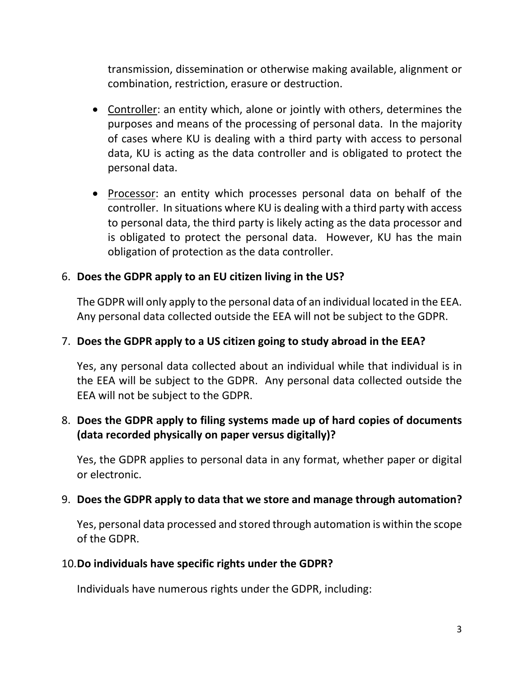transmission, dissemination or otherwise making available, alignment or combination, restriction, erasure or destruction.

- Controller: an entity which, alone or jointly with others, determines the purposes and means of the processing of personal data. In the majority of cases where KU is dealing with a third party with access to personal data, KU is acting as the data controller and is obligated to protect the personal data.
- Processor: an entity which processes personal data on behalf of the controller. In situations where KU is dealing with a third party with access to personal data, the third party is likely acting as the data processor and is obligated to protect the personal data. However, KU has the main obligation of protection as the data controller.

# 6. **Does the GDPR apply to an EU citizen living in the US?**

The GDPR will only apply to the personal data of an individual located in the EEA. Any personal data collected outside the EEA will not be subject to the GDPR.

## 7. **Does the GDPR apply to a US citizen going to study abroad in the EEA?**

Yes, any personal data collected about an individual while that individual is in the EEA will be subject to the GDPR. Any personal data collected outside the EEA will not be subject to the GDPR.

# 8. **Does the GDPR apply to filing systems made up of hard copies of documents (data recorded physically on paper versus digitally)?**

Yes, the GDPR applies to personal data in any format, whether paper or digital or electronic.

### 9. **Does the GDPR apply to data that we store and manage through automation?**

Yes, personal data processed and stored through automation is within the scope of the GDPR.

### 10.**Do individuals have specific rights under the GDPR?**

Individuals have numerous rights under the GDPR, including: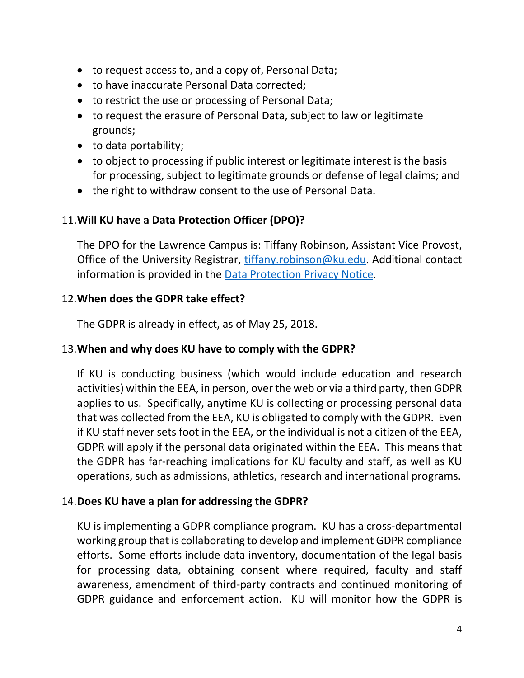- to request access to, and a copy of, Personal Data;
- to have inaccurate Personal Data corrected;
- to restrict the use or processing of Personal Data;
- to request the erasure of Personal Data, subject to law or legitimate grounds;
- to data portability;
- to object to processing if public interest or legitimate interest is the basis for processing, subject to legitimate grounds or defense of legal claims; and
- the right to withdraw consent to the use of Personal Data.

# 11.**Will KU have a Data Protection Officer (DPO)?**

The DPO for the Lawrence Campus is: Tiffany Robinson, Assistant Vice Provost, Office of the University Registrar, [tiffany.robinson@ku.edu.](mailto:tiffany.robinson@ku.edu) Additional contact information is provided in the [Data Protection Privacy Notice.](http://policy.ku.edu/general-counsel/data-protection-privacy-notice)

### 12.**When does the GDPR take effect?**

The GDPR is already in effect, as of May 25, 2018.

### 13.**When and why does KU have to comply with the GDPR?**

If KU is conducting business (which would include education and research activities) within the EEA, in person, over the web or via a third party, then GDPR applies to us. Specifically, anytime KU is collecting or processing personal data that was collected from the EEA, KU is obligated to comply with the GDPR. Even if KU staff never sets foot in the EEA, or the individual is not a citizen of the EEA, GDPR will apply if the personal data originated within the EEA. This means that the GDPR has far-reaching implications for KU faculty and staff, as well as KU operations, such as admissions, athletics, research and international programs.

# 14.**Does KU have a plan for addressing the GDPR?**

KU is implementing a GDPR compliance program. KU has a cross-departmental working group that is collaborating to develop and implement GDPR compliance efforts. Some efforts include data inventory, documentation of the legal basis for processing data, obtaining consent where required, faculty and staff awareness, amendment of third-party contracts and continued monitoring of GDPR guidance and enforcement action. KU will monitor how the GDPR is